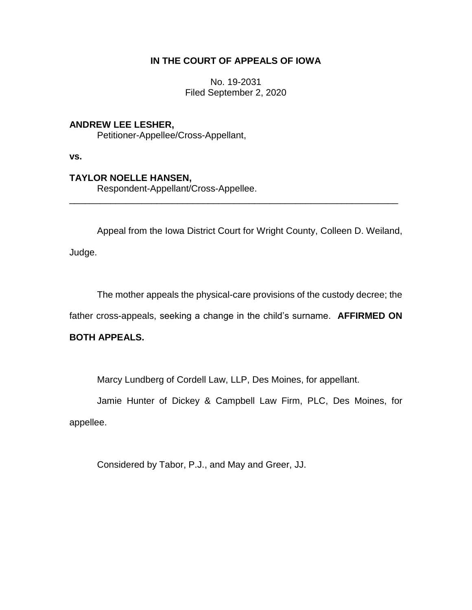## **IN THE COURT OF APPEALS OF IOWA**

No. 19-2031 Filed September 2, 2020

## **ANDREW LEE LESHER,**

Petitioner-Appellee/Cross-Appellant,

**vs.**

## **TAYLOR NOELLE HANSEN,**

Respondent-Appellant/Cross-Appellee.

Appeal from the Iowa District Court for Wright County, Colleen D. Weiland,

\_\_\_\_\_\_\_\_\_\_\_\_\_\_\_\_\_\_\_\_\_\_\_\_\_\_\_\_\_\_\_\_\_\_\_\_\_\_\_\_\_\_\_\_\_\_\_\_\_\_\_\_\_\_\_\_\_\_\_\_\_\_\_\_

Judge.

The mother appeals the physical-care provisions of the custody decree; the

father cross-appeals, seeking a change in the child's surname. **AFFIRMED ON** 

## **BOTH APPEALS.**

Marcy Lundberg of Cordell Law, LLP, Des Moines, for appellant.

Jamie Hunter of Dickey & Campbell Law Firm, PLC, Des Moines, for appellee.

Considered by Tabor, P.J., and May and Greer, JJ.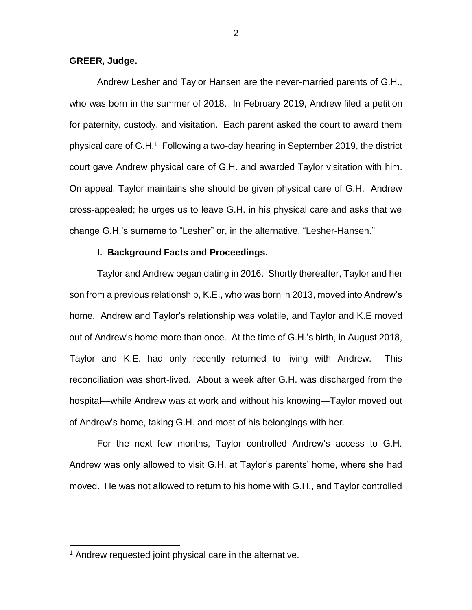#### **GREER, Judge.**

Andrew Lesher and Taylor Hansen are the never-married parents of G.H., who was born in the summer of 2018. In February 2019, Andrew filed a petition for paternity, custody, and visitation. Each parent asked the court to award them physical care of G.H.<sup>1</sup> Following a two-day hearing in September 2019, the district court gave Andrew physical care of G.H. and awarded Taylor visitation with him. On appeal, Taylor maintains she should be given physical care of G.H. Andrew cross-appealed; he urges us to leave G.H. in his physical care and asks that we change G.H.'s surname to "Lesher" or, in the alternative, "Lesher-Hansen."

#### **I. Background Facts and Proceedings.**

Taylor and Andrew began dating in 2016. Shortly thereafter, Taylor and her son from a previous relationship, K.E., who was born in 2013, moved into Andrew's home. Andrew and Taylor's relationship was volatile, and Taylor and K.E moved out of Andrew's home more than once. At the time of G.H.'s birth, in August 2018, Taylor and K.E. had only recently returned to living with Andrew. This reconciliation was short-lived. About a week after G.H. was discharged from the hospital—while Andrew was at work and without his knowing—Taylor moved out of Andrew's home, taking G.H. and most of his belongings with her.

For the next few months, Taylor controlled Andrew's access to G.H. Andrew was only allowed to visit G.H. at Taylor's parents' home, where she had moved. He was not allowed to return to his home with G.H., and Taylor controlled

 $\overline{a}$ 

<sup>&</sup>lt;sup>1</sup> Andrew requested joint physical care in the alternative.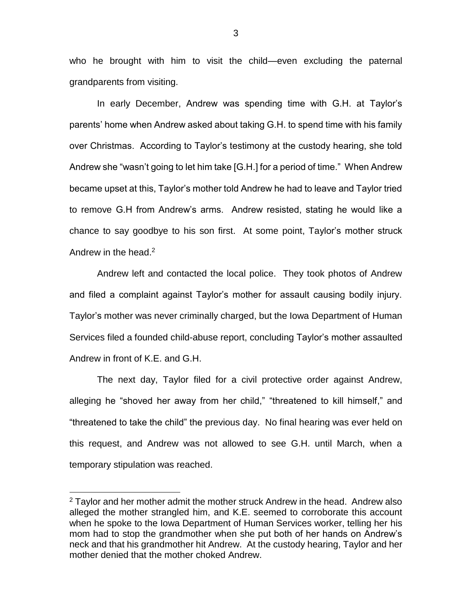who he brought with him to visit the child—even excluding the paternal grandparents from visiting.

In early December, Andrew was spending time with G.H. at Taylor's parents' home when Andrew asked about taking G.H. to spend time with his family over Christmas. According to Taylor's testimony at the custody hearing, she told Andrew she "wasn't going to let him take [G.H.] for a period of time." When Andrew became upset at this, Taylor's mother told Andrew he had to leave and Taylor tried to remove G.H from Andrew's arms. Andrew resisted, stating he would like a chance to say goodbye to his son first. At some point, Taylor's mother struck Andrew in the head.<sup>2</sup>

Andrew left and contacted the local police. They took photos of Andrew and filed a complaint against Taylor's mother for assault causing bodily injury. Taylor's mother was never criminally charged, but the Iowa Department of Human Services filed a founded child-abuse report, concluding Taylor's mother assaulted Andrew in front of K.E. and G.H.

The next day, Taylor filed for a civil protective order against Andrew, alleging he "shoved her away from her child," "threatened to kill himself," and "threatened to take the child" the previous day. No final hearing was ever held on this request, and Andrew was not allowed to see G.H. until March, when a temporary stipulation was reached.

 $\overline{a}$ 

<sup>&</sup>lt;sup>2</sup> Taylor and her mother admit the mother struck Andrew in the head. Andrew also alleged the mother strangled him, and K.E. seemed to corroborate this account when he spoke to the Iowa Department of Human Services worker, telling her his mom had to stop the grandmother when she put both of her hands on Andrew's neck and that his grandmother hit Andrew. At the custody hearing, Taylor and her mother denied that the mother choked Andrew.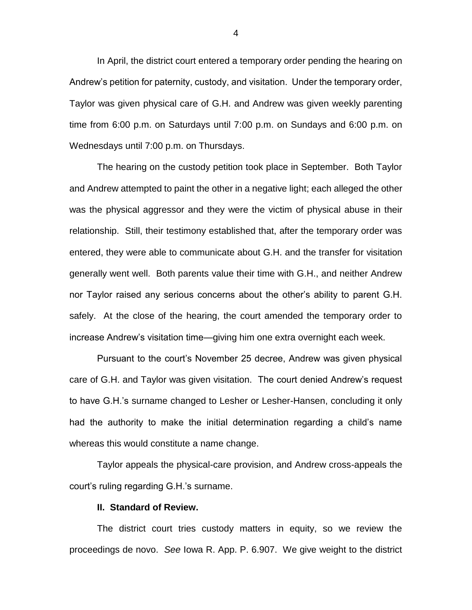In April, the district court entered a temporary order pending the hearing on Andrew's petition for paternity, custody, and visitation. Under the temporary order, Taylor was given physical care of G.H. and Andrew was given weekly parenting time from 6:00 p.m. on Saturdays until 7:00 p.m. on Sundays and 6:00 p.m. on Wednesdays until 7:00 p.m. on Thursdays.

The hearing on the custody petition took place in September. Both Taylor and Andrew attempted to paint the other in a negative light; each alleged the other was the physical aggressor and they were the victim of physical abuse in their relationship. Still, their testimony established that, after the temporary order was entered, they were able to communicate about G.H. and the transfer for visitation generally went well. Both parents value their time with G.H., and neither Andrew nor Taylor raised any serious concerns about the other's ability to parent G.H. safely. At the close of the hearing, the court amended the temporary order to increase Andrew's visitation time—giving him one extra overnight each week.

Pursuant to the court's November 25 decree, Andrew was given physical care of G.H. and Taylor was given visitation. The court denied Andrew's request to have G.H.'s surname changed to Lesher or Lesher-Hansen, concluding it only had the authority to make the initial determination regarding a child's name whereas this would constitute a name change.

Taylor appeals the physical-care provision, and Andrew cross-appeals the court's ruling regarding G.H.'s surname.

#### **II. Standard of Review.**

The district court tries custody matters in equity, so we review the proceedings de novo. *See* Iowa R. App. P. 6.907. We give weight to the district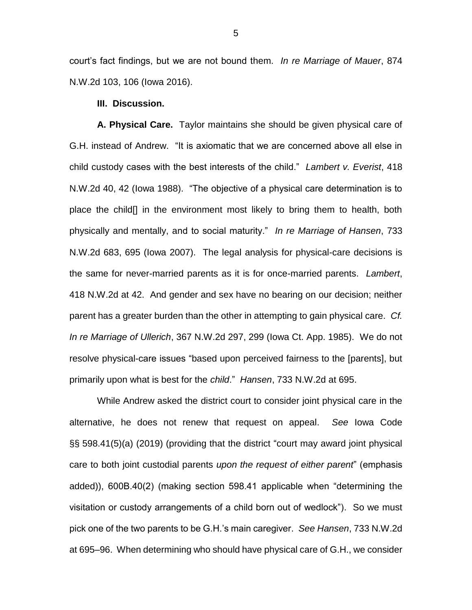court's fact findings, but we are not bound them. *In re Marriage of Mauer*, 874 N.W.2d 103, 106 (Iowa 2016).

#### **III. Discussion.**

**A. Physical Care.** Taylor maintains she should be given physical care of G.H. instead of Andrew. "It is axiomatic that we are concerned above all else in child custody cases with the best interests of the child." *Lambert v. Everist*, 418 N.W.2d 40, 42 (Iowa 1988). "The objective of a physical care determination is to place the child[] in the environment most likely to bring them to health, both physically and mentally, and to social maturity." *In re Marriage of Hansen*, 733 N.W.2d 683, 695 (Iowa 2007). The legal analysis for physical-care decisions is the same for never-married parents as it is for once-married parents. *Lambert*, 418 N.W.2d at 42.And gender and sex have no bearing on our decision; neither parent has a greater burden than the other in attempting to gain physical care. *Cf. In re Marriage of Ullerich*, 367 N.W.2d 297, 299 (Iowa Ct. App. 1985). We do not resolve physical-care issues "based upon perceived fairness to the [parents], but primarily upon what is best for the *child*." *Hansen*, 733 N.W.2d at 695.

While Andrew asked the district court to consider joint physical care in the alternative, he does not renew that request on appeal. *See* Iowa Code §§ 598.41(5)(a) (2019) (providing that the district "court may award joint physical care to both joint custodial parents *upon the request of either parent*" (emphasis added)), 600B.40(2) (making section 598.41 applicable when "determining the visitation or custody arrangements of a child born out of wedlock"). So we must pick one of the two parents to be G.H.'s main caregiver. *See Hansen*, 733 N.W.2d at 695–96. When determining who should have physical care of G.H., we consider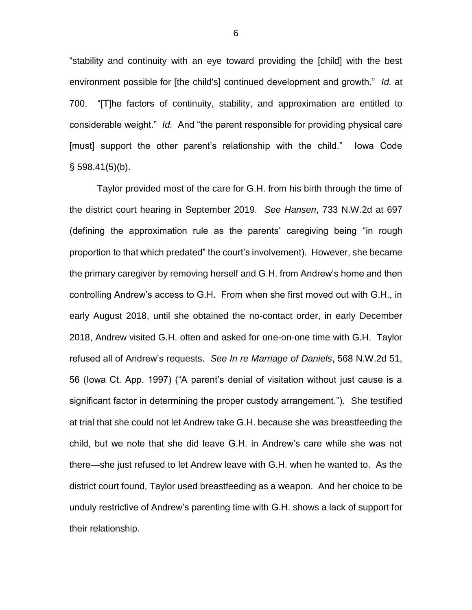"stability and continuity with an eye toward providing the [child] with the best environment possible for [the child's] continued development and growth." *Id.* at 700. "[T]he factors of continuity, stability, and approximation are entitled to considerable weight." *Id.* And "the parent responsible for providing physical care [must] support the other parent's relationship with the child." Iowa Code  $§$  598.41(5)(b).

Taylor provided most of the care for G.H. from his birth through the time of the district court hearing in September 2019. *See Hansen*, 733 N.W.2d at 697 (defining the approximation rule as the parents' caregiving being "in rough proportion to that which predated" the court's involvement). However, she became the primary caregiver by removing herself and G.H. from Andrew's home and then controlling Andrew's access to G.H. From when she first moved out with G.H., in early August 2018, until she obtained the no-contact order, in early December 2018, Andrew visited G.H. often and asked for one-on-one time with G.H. Taylor refused all of Andrew's requests. *See In re Marriage of Daniels*, 568 N.W.2d 51, 56 (Iowa Ct. App. 1997) ("A parent's denial of visitation without just cause is a significant factor in determining the proper custody arrangement."). She testified at trial that she could not let Andrew take G.H. because she was breastfeeding the child, but we note that she did leave G.H. in Andrew's care while she was not there—she just refused to let Andrew leave with G.H. when he wanted to. As the district court found, Taylor used breastfeeding as a weapon. And her choice to be unduly restrictive of Andrew's parenting time with G.H. shows a lack of support for their relationship.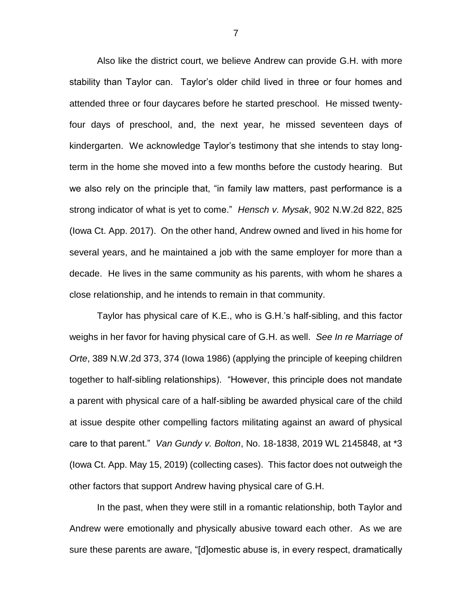Also like the district court, we believe Andrew can provide G.H. with more stability than Taylor can. Taylor's older child lived in three or four homes and attended three or four daycares before he started preschool. He missed twentyfour days of preschool, and, the next year, he missed seventeen days of kindergarten. We acknowledge Taylor's testimony that she intends to stay longterm in the home she moved into a few months before the custody hearing. But we also rely on the principle that, "in family law matters, past performance is a strong indicator of what is yet to come." *Hensch v. Mysak*, 902 N.W.2d 822, 825 (Iowa Ct. App. 2017). On the other hand, Andrew owned and lived in his home for several years, and he maintained a job with the same employer for more than a decade. He lives in the same community as his parents, with whom he shares a close relationship, and he intends to remain in that community.

Taylor has physical care of K.E., who is G.H.'s half-sibling, and this factor weighs in her favor for having physical care of G.H. as well. *See In re Marriage of Orte*, 389 N.W.2d 373, 374 (Iowa 1986) (applying the principle of keeping children together to half-sibling relationships). "However, this principle does not mandate a parent with physical care of a half-sibling be awarded physical care of the child at issue despite other compelling factors militating against an award of physical care to that parent." *Van Gundy v. Bolton*, No. 18-1838, 2019 WL 2145848, at \*3 (Iowa Ct. App. May 15, 2019) (collecting cases). This factor does not outweigh the other factors that support Andrew having physical care of G.H.

In the past, when they were still in a romantic relationship, both Taylor and Andrew were emotionally and physically abusive toward each other. As we are sure these parents are aware, "[d]omestic abuse is, in every respect, dramatically

7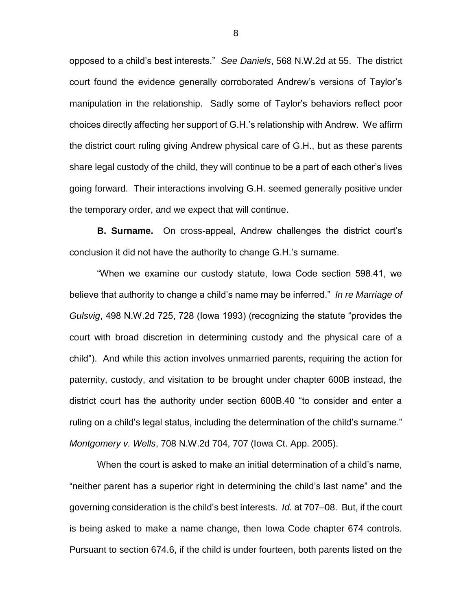opposed to a child's best interests." *See Daniels*, 568 N.W.2d at 55. The district court found the evidence generally corroborated Andrew's versions of Taylor's manipulation in the relationship. Sadly some of Taylor's behaviors reflect poor choices directly affecting her support of G.H.'s relationship with Andrew. We affirm the district court ruling giving Andrew physical care of G.H., but as these parents share legal custody of the child, they will continue to be a part of each other's lives going forward. Their interactions involving G.H. seemed generally positive under the temporary order, and we expect that will continue.

**B. Surname.** On cross-appeal, Andrew challenges the district court's conclusion it did not have the authority to change G.H.'s surname.

"When we examine our custody statute, Iowa Code section 598.41, we believe that authority to change a child's name may be inferred." *In re Marriage of Gulsvig*, 498 N.W.2d 725, 728 (Iowa 1993) (recognizing the statute "provides the court with broad discretion in determining custody and the physical care of a child"). And while this action involves unmarried parents, requiring the action for paternity, custody, and visitation to be brought under chapter 600B instead, the district court has the authority under section 600B.40 "to consider and enter a ruling on a child's legal status, including the determination of the child's surname." *Montgomery v. Wells*, 708 N.W.2d 704, 707 (Iowa Ct. App. 2005).

When the court is asked to make an initial determination of a child's name, "neither parent has a superior right in determining the child's last name" and the governing consideration is the child's best interests. *Id.* at 707–08. But, if the court is being asked to make a name change, then Iowa Code chapter 674 controls. Pursuant to section 674.6, if the child is under fourteen, both parents listed on the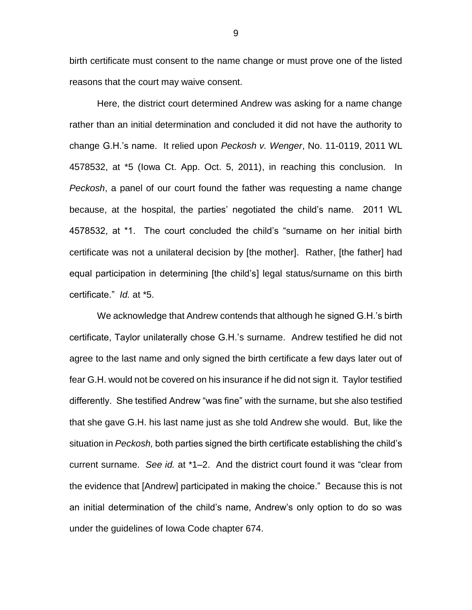birth certificate must consent to the name change or must prove one of the listed reasons that the court may waive consent.

Here, the district court determined Andrew was asking for a name change rather than an initial determination and concluded it did not have the authority to change G.H.'s name. It relied upon *Peckosh v. Wenger*, No. 11-0119, 2011 WL 4578532, at \*5 (Iowa Ct. App. Oct. 5, 2011), in reaching this conclusion. In *Peckosh*, a panel of our court found the father was requesting a name change because, at the hospital, the parties' negotiated the child's name. 2011 WL 4578532, at \*1. The court concluded the child's "surname on her initial birth certificate was not a unilateral decision by [the mother]. Rather, [the father] had equal participation in determining [the child's] legal status/surname on this birth certificate." *Id.* at \*5.

We acknowledge that Andrew contends that although he signed G.H.'s birth certificate, Taylor unilaterally chose G.H.'s surname. Andrew testified he did not agree to the last name and only signed the birth certificate a few days later out of fear G.H. would not be covered on his insurance if he did not sign it. Taylor testified differently. She testified Andrew "was fine" with the surname, but she also testified that she gave G.H. his last name just as she told Andrew she would. But, like the situation in *Peckosh,* both parties signed the birth certificate establishing the child's current surname. *See id.* at \*1–2. And the district court found it was "clear from the evidence that [Andrew] participated in making the choice." Because this is not an initial determination of the child's name, Andrew's only option to do so was under the guidelines of Iowa Code chapter 674.

9